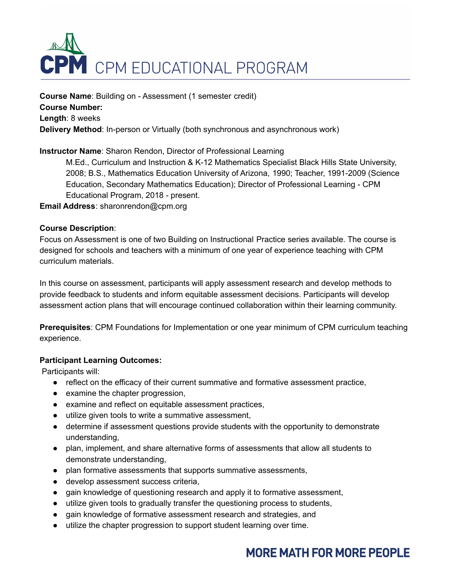

**Course Name**: Building on - Assessment (1 semester credit) **Course Number: Length**: 8 weeks **Delivery Method**: In-person or Virtually (both synchronous and asynchronous work)

### **Instructor Name**: Sharon Rendon, Director of Professional Learning

M.Ed., Curriculum and Instruction & K-12 Mathematics Specialist Black Hills State University, 2008; B.S., Mathematics Education University of Arizona, 1990; Teacher, 1991-2009 (Science Education, Secondary Mathematics Education); Director of Professional Learning - CPM Educational Program, 2018 - present.

**Email Address**: sharonrendon@cpm.org

#### **Course Description**:

Focus on Assessment is one of two Building on Instructional Practice series available. The course is designed for schools and teachers with a minimum of one year of experience teaching with CPM curriculum materials.

In this course on assessment, participants will apply assessment research and develop methods to provide feedback to students and inform equitable assessment decisions. Participants will develop assessment action plans that will encourage continued collaboration within their learning community.

**Prerequisites**: CPM Foundations for Implementation or one year minimum of CPM curriculum teaching experience.

#### **Participant Learning Outcomes:**

Participants will:

- reflect on the efficacy of their current summative and formative assessment practice,
- examine the chapter progression,
- examine and reflect on equitable assessment practices,
- utilize given tools to write a summative assessment,
- determine if assessment questions provide students with the opportunity to demonstrate understanding,
- plan, implement, and share alternative forms of assessments that allow all students to demonstrate understanding,
- plan formative assessments that supports summative assessments,
- develop assessment success criteria,
- gain knowledge of questioning research and apply it to formative assessment,
- utilize given tools to gradually transfer the questioning process to students,
- gain knowledge of formative assessment research and strategies, and
- utilize the chapter progression to support student learning over time.

# **MORE MATH FOR MORE PEOPLE**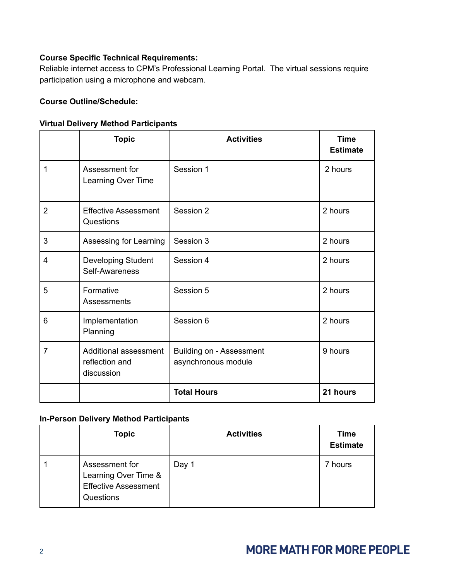## **Course Specific Technical Requirements:**

Reliable internet access to CPM's Professional Learning Portal. The virtual sessions require participation using a microphone and webcam.

### **Course Outline/Schedule:**

### **Virtual Delivery Method Participants**

|                | <b>Topic</b>                                          | <b>Activities</b>                                      | <b>Time</b><br><b>Estimate</b> |
|----------------|-------------------------------------------------------|--------------------------------------------------------|--------------------------------|
| 1              | Assessment for<br>Learning Over Time                  | Session 1                                              | 2 hours                        |
| $\overline{2}$ | <b>Effective Assessment</b><br>Questions              | Session 2                                              | 2 hours                        |
| 3              | Assessing for Learning                                | Session 3                                              | 2 hours                        |
| 4              | Developing Student<br>Self-Awareness                  | Session 4                                              | 2 hours                        |
| 5              | Formative<br>Assessments                              | Session 5                                              | 2 hours                        |
| 6              | Implementation<br>Planning                            | Session 6                                              | 2 hours                        |
| $\overline{7}$ | Additional assessment<br>reflection and<br>discussion | <b>Building on - Assessment</b><br>asynchronous module | 9 hours                        |
|                |                                                       | <b>Total Hours</b>                                     | 21 hours                       |

### **In-Person Delivery Method Participants**

| <b>Topic</b>                                                                       | <b>Activities</b> | <b>Time</b><br><b>Estimate</b> |
|------------------------------------------------------------------------------------|-------------------|--------------------------------|
| Assessment for<br>Learning Over Time &<br><b>Effective Assessment</b><br>Questions | Day 1             | 7 hours                        |

# **MORE MATH FOR MORE PEOPLE**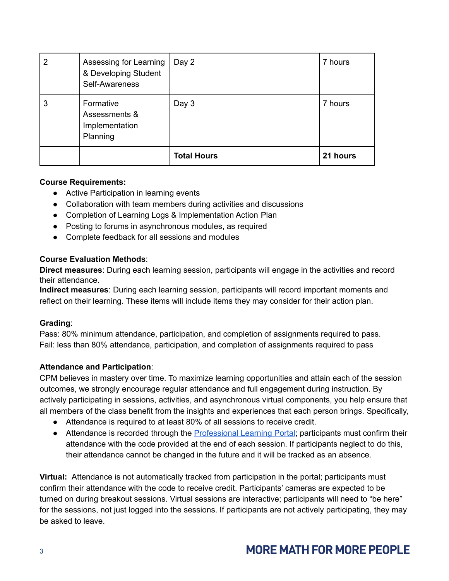| 2 | Assessing for Learning<br>& Developing Student<br>Self-Awareness | Day 2              | 7 hours  |
|---|------------------------------------------------------------------|--------------------|----------|
| 3 | Formative<br>Assessments &<br>Implementation<br>Planning         | Day 3              | 7 hours  |
|   |                                                                  | <b>Total Hours</b> | 21 hours |

### **Course Requirements:**

- Active Participation in learning events
- Collaboration with team members during activities and discussions
- Completion of Learning Logs & Implementation Action Plan
- Posting to forums in asynchronous modules, as required
- Complete feedback for all sessions and modules

### **Course Evaluation Methods**:

**Direct measures**: During each learning session, participants will engage in the activities and record their attendance.

**Indirect measures**: During each learning session, participants will record important moments and reflect on their learning. These items will include items they may consider for their action plan.

### **Grading**:

Pass: 80% minimum attendance, participation, and completion of assignments required to pass. Fail: less than 80% attendance, participation, and completion of assignments required to pass

### **Attendance and Participation**:

CPM believes in mastery over time. To maximize learning opportunities and attain each of the session outcomes, we strongly encourage regular attendance and full engagement during instruction. By actively participating in sessions, activities, and asynchronous virtual components, you help ensure that all members of the class benefit from the insights and experiences that each person brings. Specifically,

- Attendance is required to at least 80% of all sessions to receive credit.
- Attendance is recorded through the [Professional](https://professionallearning.cpm.org) Learning Portal; participants must confirm their attendance with the code provided at the end of each session. If participants neglect to do this, their attendance cannot be changed in the future and it will be tracked as an absence.

**Virtual:** Attendance is not automatically tracked from participation in the portal; participants must confirm their attendance with the code to receive credit. Participants' cameras are expected to be turned on during breakout sessions. Virtual sessions are interactive; participants will need to "be here" for the sessions, not just logged into the sessions. If participants are not actively participating, they may be asked to leave.

# **MORE MATH FOR MORE PEOPLE**